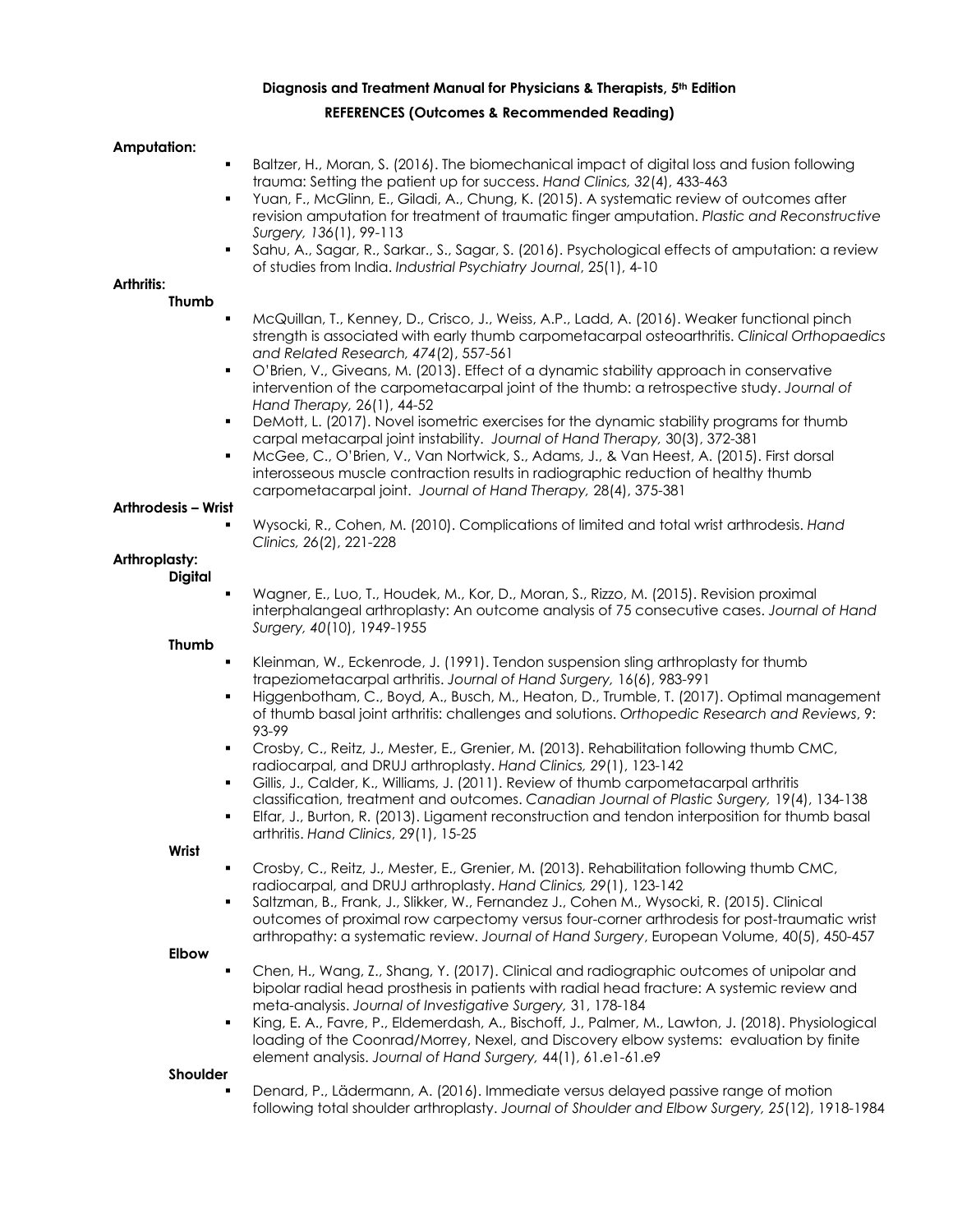### **Diagnosis and Treatment Manual for Physicians & Therapists, 5th Edition**

#### **REFERENCES (Outcomes & Recommended Reading)**

#### **Amputation:**

- Baltzer, H., Moran, S. (2016). The biomechanical impact of digital loss and fusion following trauma: Setting the patient up for success. *Hand Clinics, 32*(4), 433-463
- ! Yuan, F., McGlinn, E., Giladi, A., Chung, K. (2015). A systematic review of outcomes after revision amputation for treatment of traumatic finger amputation. *Plastic and Reconstructive Surgery, 136*(1), 99-113
- Sahu, A., Sagar, R., Sarkar., S., Sagar, S. (2016). Psychological effects of amputation: a review of studies from India. *Industrial Psychiatry Journal*, 25(1), 4-10

# **Arthritis:**

#### **Thumb**

- ! McQuillan, T., Kenney, D., Crisco, J., Weiss, A.P., Ladd, A. (2016). Weaker functional pinch strength is associated with early thumb carpometacarpal osteoarthritis. *Clinical Orthopaedics and Related Research, 474*(2), 557-561
- ! O'Brien, V., Giveans, M. (2013). Effect of a dynamic stability approach in conservative intervention of the carpometacarpal joint of the thumb: a retrospective study. *Journal of Hand Therapy,* 26(1), 44-52
- ! DeMott, L. (2017). Novel isometric exercises for the dynamic stability programs for thumb carpal metacarpal joint instability. *Journal of Hand Therapy,* 30(3), 372-381
- ! McGee, C., O'Brien, V., Van Nortwick, S., Adams, J., & Van Heest, A. (2015). First dorsal interosseous muscle contraction results in radiographic reduction of healthy thumb carpometacarpal joint. *Journal of Hand Therapy,* 28(4), 375-381

#### **Arthrodesis – Wrist**

! Wysocki, R., Cohen, M. (2010). Complications of limited and total wrist arthrodesis. *Hand Clinics, 26*(2), 221-228

# **Arthroplasty:**

# **Digital**

Wagner, E., Luo, T., Houdek, M., Kor, D., Moran, S., Rizzo, M. (2015). Revision proximal interphalangeal arthroplasty: An outcome analysis of 75 consecutive cases. *Journal of Hand Surgery, 40*(10), 1949-1955

#### **Thumb**

- Kleinman, W., Eckenrode, J. (1991). Tendon suspension sling arthroplasty for thumb trapeziometacarpal arthritis. *Journal of Hand Surgery,* 16(6), 983-991
- Higgenbotham, C., Boyd, A., Busch, M., Heaton, D., Trumble, T. (2017). Optimal management of thumb basal joint arthritis: challenges and solutions. *Orthopedic Research and Reviews*, 9: 93-99
- ! Crosby, C., Reitz, J., Mester, E., Grenier, M. (2013). Rehabilitation following thumb CMC, radiocarpal, and DRUJ arthroplasty. *Hand Clinics, 29*(1), 123-142
- Gillis, J., Calder, K., Williams, J. (2011). Review of thumb carpometacarpal arthritis classification, treatment and outcomes. *Canadian Journal of Plastic Surgery,* 19(4), 134-138
- ! Elfar, J., Burton, R. (2013). Ligament reconstruction and tendon interposition for thumb basal arthritis. *Hand Clinics*, 29(1), 15-25

**Wrist**

- ! Crosby, C., Reitz, J., Mester, E., Grenier, M. (2013). Rehabilitation following thumb CMC, radiocarpal, and DRUJ arthroplasty. *Hand Clinics, 29*(1), 123-142
- ! Saltzman, B., Frank, J., Slikker, W., Fernandez J., Cohen M., Wysocki, R. (2015). Clinical outcomes of proximal row carpectomy versus four-corner arthrodesis for post-traumatic wrist arthropathy: a systematic review. *Journal of Hand Surgery*, European Volume, 40(5), 450-457

#### **Elbow**

- ! Chen, H., Wang, Z., Shang, Y. (2017). Clinical and radiographic outcomes of unipolar and bipolar radial head prosthesis in patients with radial head fracture: A systemic review and meta-analysis. *Journal of Investigative Surgery,* 31, 178-184
- King, E. A., Favre, P., Eldemerdash, A., Bischoff, J., Palmer, M., Lawton, J. (2018). Physiological loading of the Coonrad/Morrey, Nexel, and Discovery elbow systems: evaluation by finite element analysis. *Journal of Hand Surgery,* 44(1), 61.e1-61.e9

#### **Shoulder**

! Denard, P., Lädermann, A. (2016). Immediate versus delayed passive range of motion following total shoulder arthroplasty. *Journal of Shoulder and Elbow Surgery, 25*(12), 1918-1984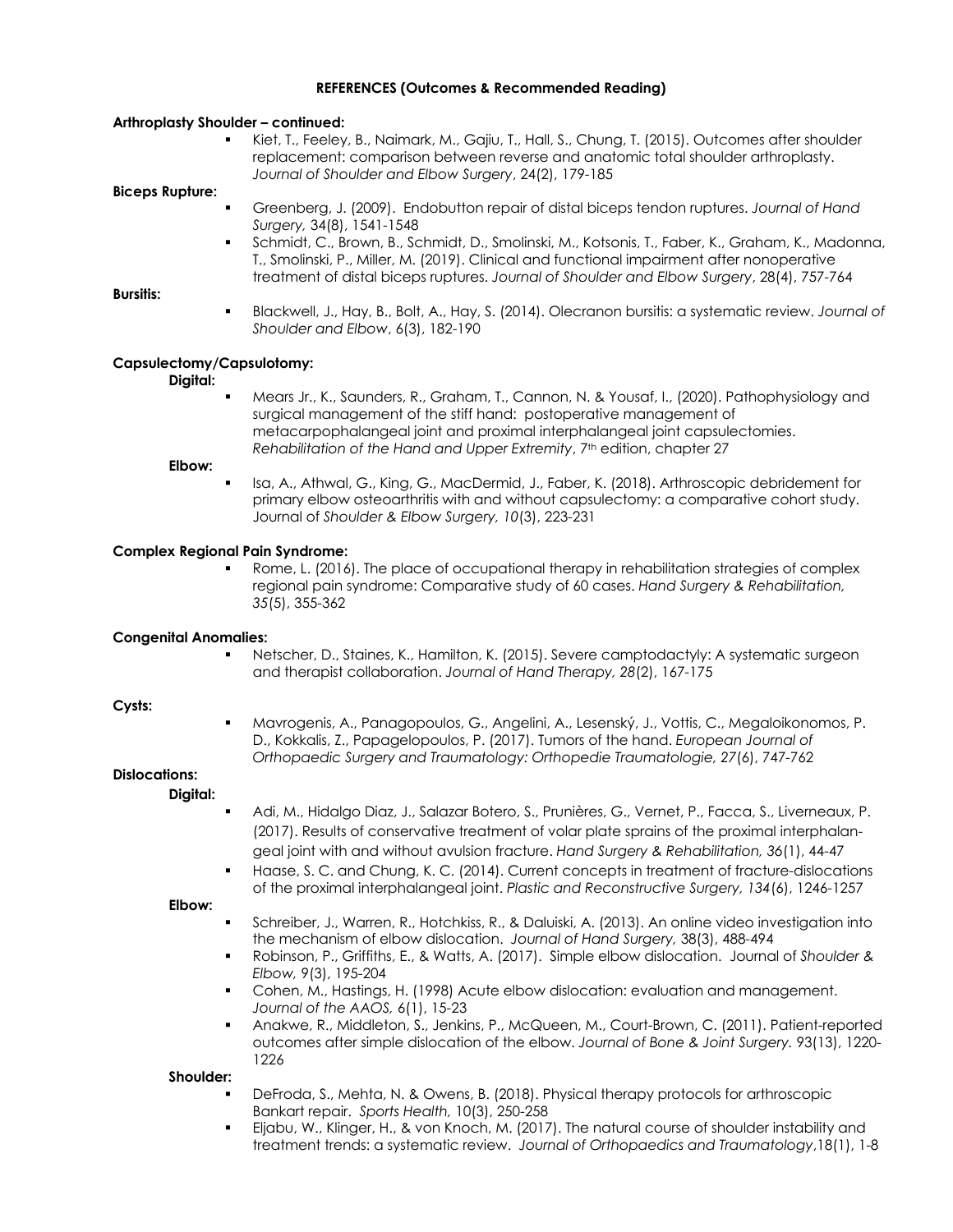#### **Arthroplasty Shoulder – continued:**

! Kiet, T., Feeley, B., Naimark, M., Gajiu, T., Hall, S., Chung, T. (2015). Outcomes after shoulder replacement: comparison between reverse and anatomic total shoulder arthroplasty. *Journal of Shoulder and Elbow Surgery*, 24(2), 179-185

#### **Biceps Rupture:**

- ! Greenberg, J. (2009). Endobutton repair of distal biceps tendon ruptures. *Journal of Hand Surgery,* 34(8), 1541-1548
- Schmidt, C., Brown, B., Schmidt, D., Smolinski, M., Kotsonis, T., Faber, K., Graham, K., Madonna, T., Smolinski, P., Miller, M. (2019). Clinical and functional impairment after nonoperative treatment of distal biceps ruptures. *Journal of Shoulder and Elbow Surgery*, 28(4), 757-764

#### **Bursitis:**

! Blackwell, J., Hay, B., Bolt, A., Hay, S. (2014). Olecranon bursitis: a systematic review. *Journal of Shoulder and Elbow*, 6(3), 182-190

#### **Capsulectomy/Capsulotomy:**

#### **Digital:**

Mears Jr., K., Saunders, R., Graham, T., Cannon, N. & Yousaf, I., (2020). Pathophysiology and surgical management of the stiff hand: postoperative management of metacarpophalangeal joint and proximal interphalangeal joint capsulectomies. *Rehabilitation of the Hand and Upper Extremity*, 7th edition, chapter 27

**Elbow:**

Isa, A., Athwal, G., King, G., MacDermid, J., Faber, K. (2018). Arthroscopic debridement for primary elbow osteoarthritis with and without capsulectomy: a comparative cohort study. Journal of *Shoulder & Elbow Surgery, 10*(3), 223-231

#### **Complex Regional Pain Syndrome:**

Rome, L. (2016). The place of occupational therapy in rehabilitation strategies of complex regional pain syndrome: Comparative study of 60 cases. *Hand Surgery & Rehabilitation, 35*(5), 355-362

#### **Congenital Anomalies:**

Netscher, D., Staines, K., Hamilton, K. (2015). Severe camptodactyly: A systematic surgeon and therapist collaboration. *Journal of Hand Therapy, 28*(2), 167-175

#### **Cysts:**

! Mavrogenis, A., Panagopoulos, G., Angelini, A., Lesenský, J., Vottis, C., Megaloikonomos, P. D., Kokkalis, Z., Papagelopoulos, P. (2017). Tumors of the hand. *European Journal of Orthopaedic Surgery and Traumatology: Orthopedie Traumatologie, 27*(6), 747-762

#### **Dislocations: Digital:**

- ! Adi, M., Hidalgo Diaz, J., Salazar Botero, S., Prunières, G., Vernet, P., Facca, S., Liverneaux, P. (2017). Results of conservative treatment of volar plate sprains of the proximal interphalangeal joint with and without avulsion fracture. *Hand Surgery & Rehabilitation, 36*(1), 44-47
- Haase, S. C. and Chung, K. C. (2014). Current concepts in treatment of fracture-dislocations of the proximal interphalangeal joint. *Plastic and Reconstructive Surgery, 134*(6), 1246-1257

**Elbow:**

- Schreiber, J., Warren, R., Hotchkiss, R., & Daluiski, A. (2013). An online video investigation into the mechanism of elbow dislocation. *Journal of Hand Surgery,* 38(3), 488-494
- ! Robinson, P., Griffiths, E., & Watts, A. (2017). Simple elbow dislocation. Journal of *Shoulder & Elbow,* 9(3), 195-204
- ! Cohen, M., Hastings, H. (1998) Acute elbow dislocation: evaluation and management. *Journal of the AAOS,* 6(1), 15-23
- ! Anakwe, R., Middleton, S., Jenkins, P., McQueen, M., Court-Brown, C. (2011). Patient-reported outcomes after simple dislocation of the elbow. *Journal of Bone & Joint Surgery.* 93(13), 1220- 1226

**Shoulder:**

- DeFroda, S., Mehta, N. & Owens, B. (2018). Physical therapy protocols for arthroscopic Bankart repair. *Sports Health,* 10(3), 250-258
- Eljabu, W., Klinger, H., & von Knoch, M. (2017). The natural course of shoulder instability and treatment trends: a systematic review. *Journal of Orthopaedics and Traumatology*,18(1), 1-8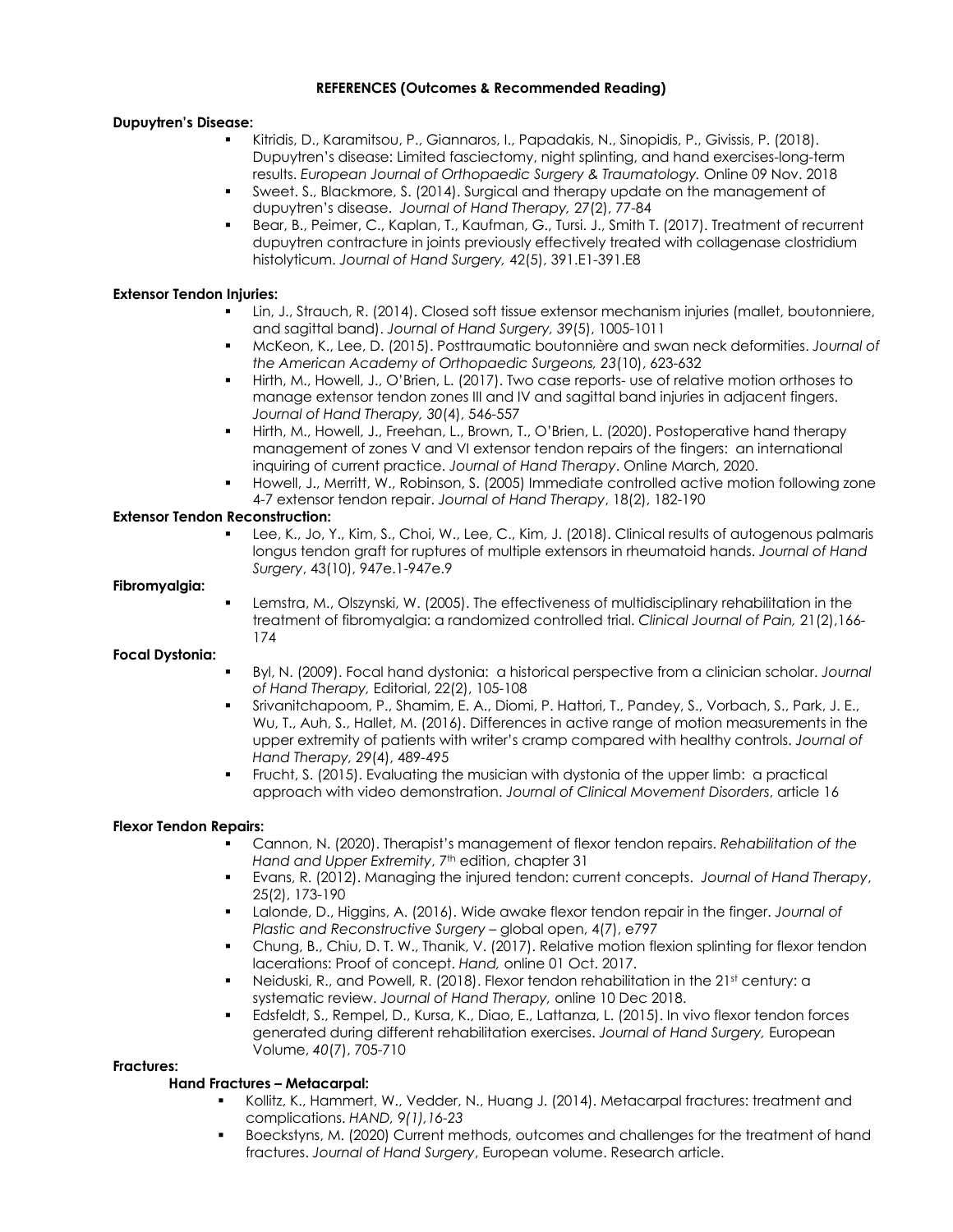#### **Dupuytren's Disease:**

- ! Kitridis, D., Karamitsou, P., Giannaros, I., Papadakis, N., Sinopidis, P., Givissis, P. (2018). Dupuytren's disease: Limited fasciectomy, night splinting, and hand exercises-long-term results. *European Journal of Orthopaedic Surgery & Traumatology.* Online 09 Nov. 2018
- Sweet. S., Blackmore, S. (2014). Surgical and therapy update on the management of dupuytren's disease. *Journal of Hand Therapy,* 27(2), 77-84
- Bear, B., Peimer, C., Kaplan, T., Kaufman, G., Tursi. J., Smith T. (2017). Treatment of recurrent dupuytren contracture in joints previously effectively treated with collagenase clostridium histolyticum. *Journal of Hand Surgery,* 42(5), 391.E1-391.E8

#### **Extensor Tendon Injuries:**

- Lin, J., Strauch, R. (2014). Closed soft tissue extensor mechanism injuries (mallet, boutonniere, and sagittal band). *Journal of Hand Surgery, 39*(5), 1005-1011
- ! McKeon, K., Lee, D. (2015). Posttraumatic boutonnière and swan neck deformities. *Journal of the American Academy of Orthopaedic Surgeons, 23*(10), 623-632
- ! Hirth, M., Howell, J., O'Brien, L. (2017). Two case reports- use of relative motion orthoses to manage extensor tendon zones III and IV and sagittal band injuries in adjacent fingers. *Journal of Hand Therapy, 30*(4), 546-557
- ! Hirth, M., Howell, J., Freehan, L., Brown, T., O'Brien, L. (2020). Postoperative hand therapy management of zones V and VI extensor tendon repairs of the fingers: an international inquiring of current practice. *Journal of Hand Therapy*. Online March, 2020.
- Howell, J., Merritt, W., Robinson, S. (2005) Immediate controlled active motion following zone 4-7 extensor tendon repair. *Journal of Hand Therapy*, 18(2), 182-190

# **Extensor Tendon Reconstruction:**

Lee, K., Jo, Y., Kim, S., Choi, W., Lee, C., Kim, J. (2018). Clinical results of autogenous palmaris longus tendon graft for ruptures of multiple extensors in rheumatoid hands. *Journal of Hand Surgery*, 43(10), 947e.1-947e.9

#### **Fibromyalgia:**

! Lemstra, M., Olszynski, W. (2005). The effectiveness of multidisciplinary rehabilitation in the treatment of fibromyalgia: a randomized controlled trial. *Clinical Journal of Pain,* 21(2),166- 174

#### **Focal Dystonia:**

- ! Byl, N. (2009). Focal hand dystonia: a historical perspective from a clinician scholar. *Journal of Hand Therapy,* Editorial, 22(2), 105-108
- ! Srivanitchapoom, P., Shamim, E. A., Diomi, P. Hattori, T., Pandey, S., Vorbach, S., Park, J. E., Wu, T., Auh, S., Hallet, M. (2016). Differences in active range of motion measurements in the upper extremity of patients with writer's cramp compared with healthy controls. *Journal of Hand Therapy, 29*(4), 489-495
- ! Frucht, S. (2015). Evaluating the musician with dystonia of the upper limb: a practical approach with video demonstration. *Journal of Clinical Movement Disorders*, article 16

#### **Flexor Tendon Repairs:**

- ! Cannon, N. (2020). Therapist's management of flexor tendon repairs. *Rehabilitation of the*  Hand and Upper Extremity, 7<sup>th</sup> edition, chapter 31
- ! Evans, R. (2012). Managing the injured tendon: current concepts. *Journal of Hand Therapy*, 25(2), 173-190
- ! Lalonde, D., Higgins, A. (2016). Wide awake flexor tendon repair in the finger. *Journal of Plastic and Reconstructive Surgery* – global open, 4(7), e797
- ! Chung, B., Chiu, D. T. W., Thanik, V. (2017). Relative motion flexion splinting for flexor tendon lacerations: Proof of concept. *Hand,* online 01 Oct. 2017.
- Neiduski, R., and Powell, R. (2018). Flexor tendon rehabilitation in the 21st century: a systematic review. *Journal of Hand Therapy,* online 10 Dec 2018.
- ! Edsfeldt, S., Rempel, D., Kursa, K., Diao, E., Lattanza, L. (2015). In vivo flexor tendon forces generated during different rehabilitation exercises. *Journal of Hand Surgery,* European Volume, *40*(7), 705-710

#### **Fractures:**

#### **Hand Fractures – Metacarpal:**

- Kollitz, K., Hammert, W., Vedder, N., Huang J. (2014). Metacarpal fractures: treatment and complications. *HAND, 9(1),16-23*
- ! Boeckstyns, M. (2020) Current methods, outcomes and challenges for the treatment of hand fractures. *Journal of Hand Surgery*, European volume. Research article.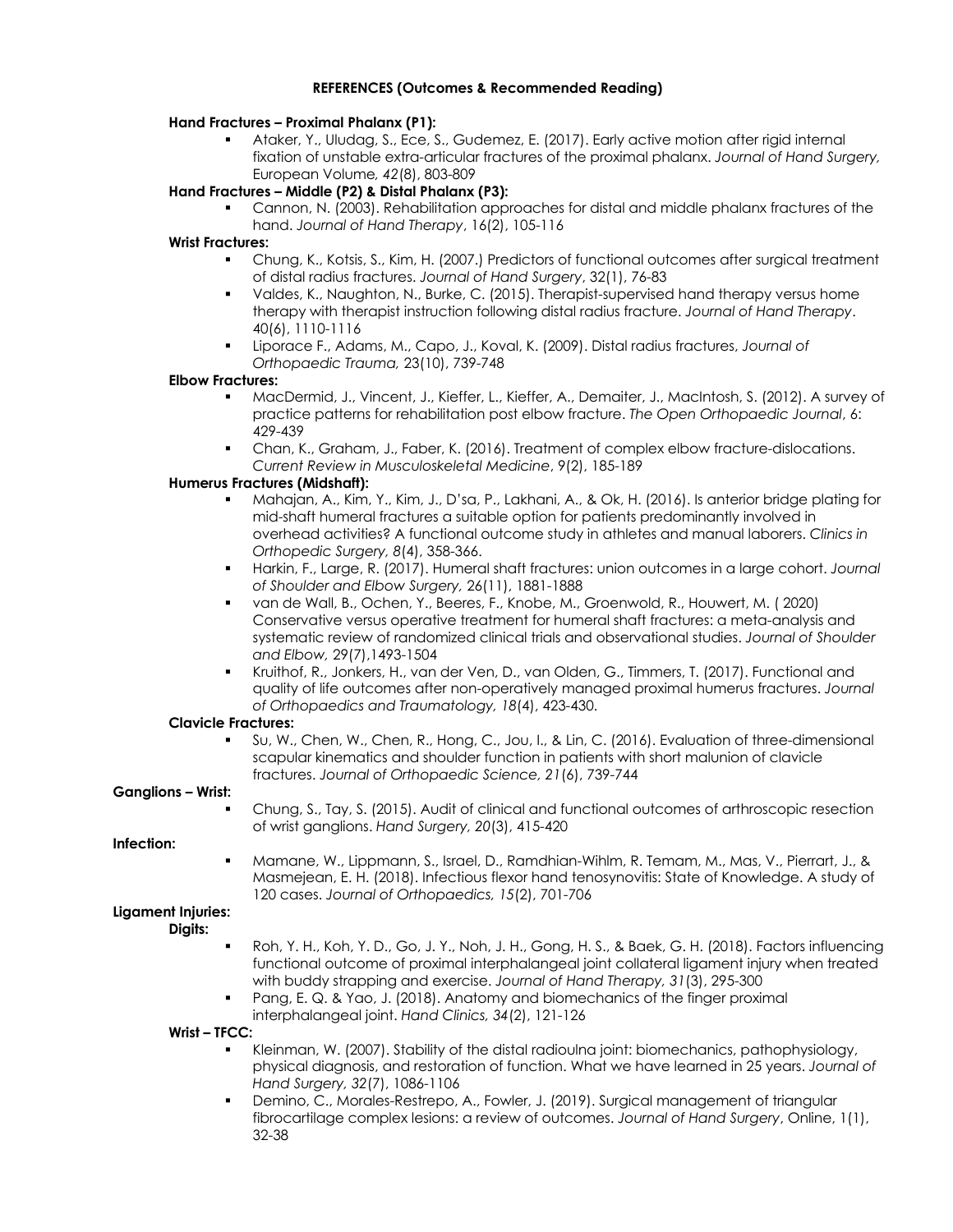### **Hand Fractures – Proximal Phalanx (P1):**

! Ataker, Y., Uludag, S., Ece, S., Gudemez, E. (2017). Early active motion after rigid internal fixation of unstable extra-articular fractures of the proximal phalanx. *Journal of Hand Surgery,*  European Volume*, 42*(8), 803-809

# **Hand Fractures – Middle (P2) & Distal Phalanx (P3):**

! Cannon, N. (2003). Rehabilitation approaches for distal and middle phalanx fractures of the hand. *Journal of Hand Therapy*, 16(2), 105-116

### **Wrist Fractures:**

- ! Chung, K., Kotsis, S., Kim, H. (2007.) Predictors of functional outcomes after surgical treatment of distal radius fractures. *Journal of Hand Surgery*, 32(1), 76-83
- ! Valdes, K., Naughton, N., Burke, C. (2015). Therapist-supervised hand therapy versus home therapy with therapist instruction following distal radius fracture. *Journal of Hand Therapy*. 40(6), 1110-1116
- ! Liporace F., Adams, M., Capo, J., Koval, K. (2009). Distal radius fractures, *Journal of Orthopaedic Trauma,* 23(10), 739-748

# **Elbow Fractures:**

- ! MacDermid, J., Vincent, J., Kieffer, L., Kieffer, A., Demaiter, J., MacIntosh, S. (2012). A survey of practice patterns for rehabilitation post elbow fracture. *The Open Orthopaedic Journal*, 6: 429-439
- ! Chan, K., Graham, J., Faber, K. (2016). Treatment of complex elbow fracture-dislocations. *Current Review in Musculoskeletal Medicine*, 9(2), 185-189

# **Humerus Fractures (Midshaft):**

- ! Mahajan, A., Kim, Y., Kim, J., D'sa, P., Lakhani, A., & Ok, H. (2016). Is anterior bridge plating for mid-shaft humeral fractures a suitable option for patients predominantly involved in overhead activities? A functional outcome study in athletes and manual laborers. *Clinics in Orthopedic Surgery, 8*(4), 358-366.
- ! Harkin, F., Large, R. (2017). Humeral shaft fractures: union outcomes in a large cohort. *Journal of Shoulder and Elbow Surgery,* 26(11), 1881-1888
- ! van de Wall, B., Ochen, Y., Beeres, F., Knobe, M., Groenwold, R., Houwert, M. ( 2020) Conservative versus operative treatment for humeral shaft fractures: a meta-analysis and systematic review of randomized clinical trials and observational studies. *Journal of Shoulder and Elbow,* 29(7),1493-1504
- ! Kruithof, R., Jonkers, H., van der Ven, D., van Olden, G., Timmers, T. (2017). Functional and quality of life outcomes after non-operatively managed proximal humerus fractures. *Journal of Orthopaedics and Traumatology, 18*(4), 423-430.

# **Clavicle Fractures:**

Su, W., Chen, W., Chen, R., Hong, C., Jou, I., & Lin, C. (2016). Evaluation of three-dimensional scapular kinematics and shoulder function in patients with short malunion of clavicle fractures. *Journal of Orthopaedic Science, 21*(6), 739-744

# **Ganglions – Wrist:**

! Chung, S., Tay, S. (2015). Audit of clinical and functional outcomes of arthroscopic resection of wrist ganglions. *Hand Surgery, 20*(3), 415-420

#### **Infection:**

! Mamane, W., Lippmann, S., Israel, D., Ramdhian-Wihlm, R. Temam, M., Mas, V., Pierrart, J., & Masmejean, E. H. (2018). Infectious flexor hand tenosynovitis: State of Knowledge. A study of 120 cases. *Journal of Orthopaedics, 15*(2), 701-706

# **Ligament Injuries:**

- **Digits:**
- ! Roh, Y. H., Koh, Y. D., Go, J. Y., Noh, J. H., Gong, H. S., & Baek, G. H. (2018). Factors influencing functional outcome of proximal interphalangeal joint collateral ligament injury when treated with buddy strapping and exercise. *Journal of Hand Therapy, 31*(3), 295-300
- Pang, E. Q. & Yao, J. (2018). Anatomy and biomechanics of the finger proximal interphalangeal joint. *Hand Clinics, 34*(2), 121-126

#### **Wrist – TFCC:**

- ! Kleinman, W. (2007). Stability of the distal radioulna joint: biomechanics, pathophysiology, physical diagnosis, and restoration of function. What we have learned in 25 years. *Journal of Hand Surgery, 32*(7), 1086-1106
- Demino, C., Morales-Restrepo, A., Fowler, J. (2019). Surgical management of triangular fibrocartilage complex lesions: a review of outcomes. *Journal of Hand Surgery*, Online, 1(1), 32-38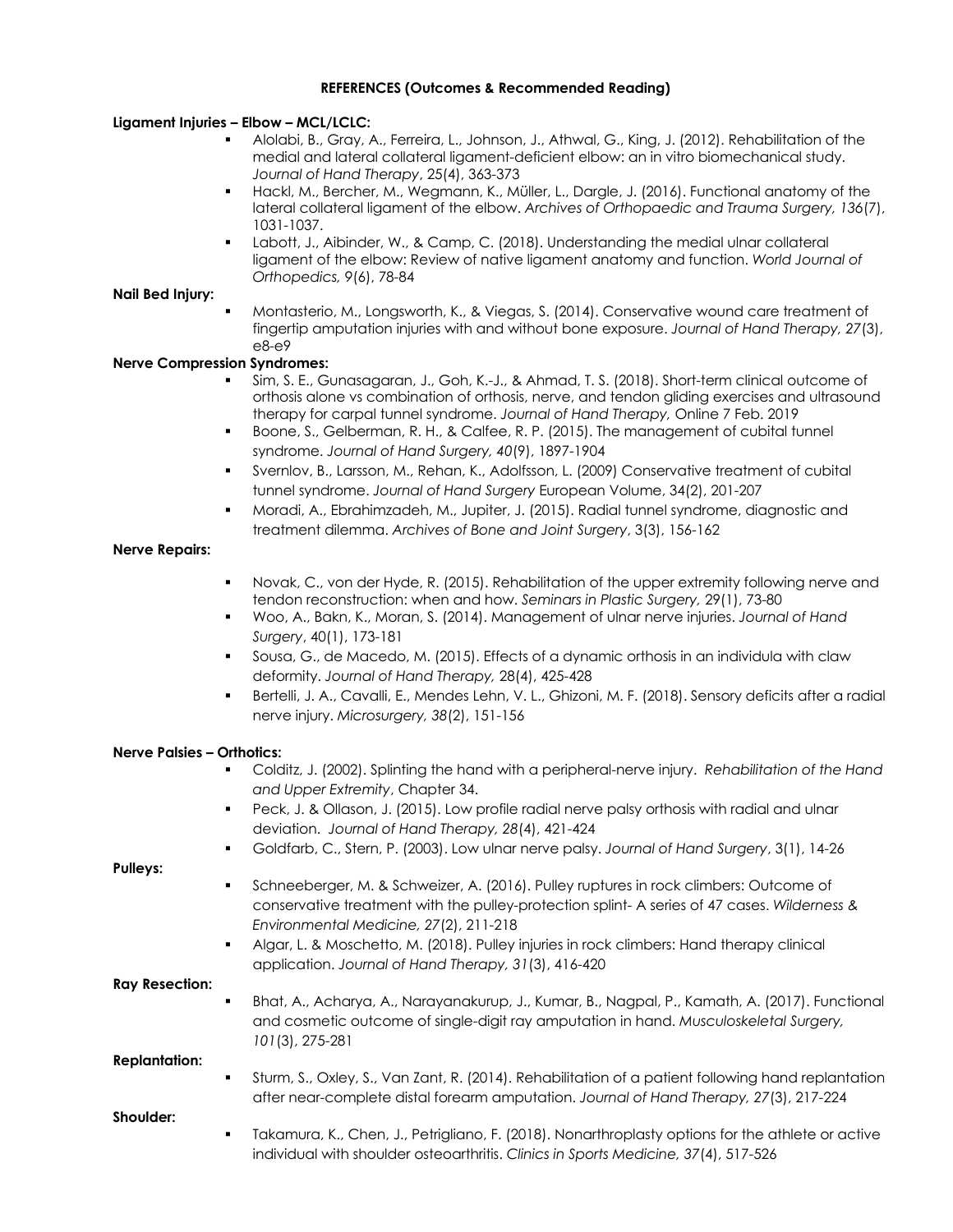### **Ligament Injuries – Elbow – MCL/LCLC:**

- ! Alolabi, B., Gray, A., Ferreira, L., Johnson, J., Athwal, G., King, J. (2012). Rehabilitation of the medial and lateral collateral ligament-deficient elbow: an in vitro biomechanical study. *Journal of Hand Therapy*, 25(4), 363-373
- ! Hackl, M., Bercher, M., Wegmann, K., Müller, L., Dargle, J. (2016). Functional anatomy of the lateral collateral ligament of the elbow. *Archives of Orthopaedic and Trauma Surgery, 136*(7), 1031-1037.
- ! Labott, J., Aibinder, W., & Camp, C. (2018). Understanding the medial ulnar collateral ligament of the elbow: Review of native ligament anatomy and function. *World Journal of Orthopedics, 9*(6), 78-84

### **Nail Bed Injury:**

! Montasterio, M., Longsworth, K., & Viegas, S. (2014). Conservative wound care treatment of fingertip amputation injuries with and without bone exposure. *Journal of Hand Therapy, 27*(3), e8-e9

# **Nerve Compression Syndromes:**

- ! Sim, S. E., Gunasagaran, J., Goh, K.-J., & Ahmad, T. S. (2018). Short-term clinical outcome of orthosis alone vs combination of orthosis, nerve, and tendon gliding exercises and ultrasound therapy for carpal tunnel syndrome. *Journal of Hand Therapy,* Online 7 Feb. 2019
- Boone, S., Gelberman, R. H., & Calfee, R. P. (2015). The management of cubital tunnel syndrome. *Journal of Hand Surgery, 40*(9), 1897-1904
- Svernlov, B., Larsson, M., Rehan, K., Adolfsson, L. (2009) Conservative treatment of cubital tunnel syndrome. *Journal of Hand Surgery* European Volume, 34(2), 201-207
- ! Moradi, A., Ebrahimzadeh, M., Jupiter, J. (2015). Radial tunnel syndrome, diagnostic and treatment dilemma. *Archives of Bone and Joint Surgery*, 3(3), 156-162

#### **Nerve Repairs:**

- Novak, C., von der Hyde, R. (2015). Rehabilitation of the upper extremity following nerve and tendon reconstruction: when and how. *Seminars in Plastic Surgery,* 29(1), 73-80
- ! Woo, A., Bakn, K., Moran, S. (2014). Management of ulnar nerve injuries. *Journal of Hand Surgery*, 40(1), 173-181
- ! Sousa, G., de Macedo, M. (2015). Effects of a dynamic orthosis in an individula with claw deformity. *Journal of Hand Therapy,* 28(4), 425-428
- Bertelli, J. A., Cavalli, E., Mendes Lehn, V. L., Ghizoni, M. F. (2018). Sensory deficits after a radial nerve injury. *Microsurgery, 38*(2), 151-156

#### **Nerve Palsies – Orthotics:**

- ! Colditz, J. (2002). Splinting the hand with a peripheral-nerve injury. *Rehabilitation of the Hand and Upper Extremity*, Chapter 34.
- Peck, J. & Ollason, J. (2015). Low profile radial nerve palsy orthosis with radial and ulnar deviation. *Journal of Hand Therapy, 28*(4), 421-424
- ! Goldfarb, C., Stern, P. (2003). Low ulnar nerve palsy. *Journal of Hand Surgery*, 3(1), 14-26

**Pulleys:**

- ! Schneeberger, M. & Schweizer, A. (2016). Pulley ruptures in rock climbers: Outcome of conservative treatment with the pulley-protection splint- A series of 47 cases. *Wilderness & Environmental Medicine, 27*(2), 211-218
- ! Algar, L. & Moschetto, M. (2018). Pulley injuries in rock climbers: Hand therapy clinical application. *Journal of Hand Therapy, 31*(3), 416-420

**Ray Resection:**

Bhat, A., Acharya, A., Narayanakurup, J., Kumar, B., Nagpal, P., Kamath, A. (2017). Functional and cosmetic outcome of single-digit ray amputation in hand. *Musculoskeletal Surgery, 101*(3), 275-281

**Replantation:**

Sturm, S., Oxley, S., Van Zant, R. (2014). Rehabilitation of a patient following hand replantation after near-complete distal forearm amputation. *Journal of Hand Therapy, 27*(3), 217-224

**Shoulder:**

Takamura, K., Chen, J., Petrigliano, F. (2018). Nonarthroplasty options for the athlete or active individual with shoulder osteoarthritis. *Clinics in Sports Medicine, 37*(4), 517-526